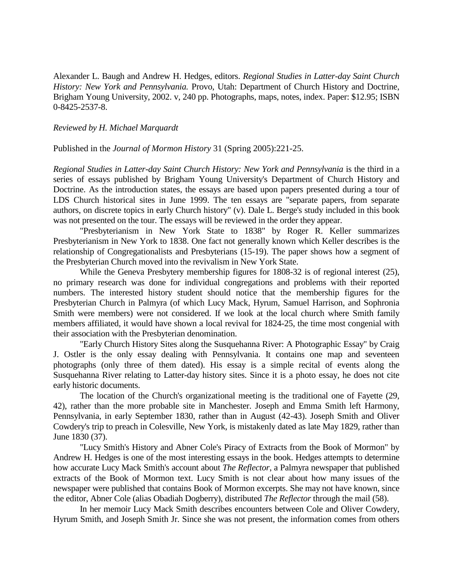Alexander L. Baugh and Andrew H. Hedges, editors. *Regional Studies in Latter-day Saint Church History: New York and Pennsylvania.* Provo, Utah: Department of Church History and Doctrine, Brigham Young University, 2002. v, 240 pp. Photographs, maps, notes, index. Paper: \$12.95; ISBN 0-8425-2537-8.

## *Reviewed by H. Michael Marquardt*

Published in the *Journal of Mormon History* 31 (Spring 2005):221-25.

*Regional Studies in Latter-day Saint Church History: New York and Pennsylvania* is the third in a series of essays published by Brigham Young University's Department of Church History and Doctrine. As the introduction states, the essays are based upon papers presented during a tour of LDS Church historical sites in June 1999. The ten essays are "separate papers, from separate authors, on discrete topics in early Church history" (v). Dale L. Berge's study included in this book was not presented on the tour. The essays will be reviewed in the order they appear.

"Presbyterianism in New York State to 1838" by Roger R. Keller summarizes Presbyterianism in New York to 1838. One fact not generally known which Keller describes is the relationship of Congregationalists and Presbyterians (15-19). The paper shows how a segment of the Presbyterian Church moved into the revivalism in New York State.

While the Geneva Presbytery membership figures for 1808-32 is of regional interest (25), no primary research was done for individual congregations and problems with their reported numbers. The interested history student should notice that the membership figures for the Presbyterian Church in Palmyra (of which Lucy Mack, Hyrum, Samuel Harrison, and Sophronia Smith were members) were not considered. If we look at the local church where Smith family members affiliated, it would have shown a local revival for 1824-25, the time most congenial with their association with the Presbyterian denomination.

"Early Church History Sites along the Susquehanna River: A Photographic Essay" by Craig J. Ostler is the only essay dealing with Pennsylvania. It contains one map and seventeen photographs (only three of them dated). His essay is a simple recital of events along the Susquehanna River relating to Latter-day history sites. Since it is a photo essay, he does not cite early historic documents.

The location of the Church's organizational meeting is the traditional one of Fayette (29, 42), rather than the more probable site in Manchester. Joseph and Emma Smith left Harmony, Pennsylvania, in early September 1830, rather than in August (42-43). Joseph Smith and Oliver Cowdery's trip to preach in Colesville, New York, is mistakenly dated as late May 1829, rather than June 1830 (37).

"Lucy Smith's History and Abner Cole's Piracy of Extracts from the Book of Mormon" by Andrew H. Hedges is one of the most interesting essays in the book. Hedges attempts to determine how accurate Lucy Mack Smith's account about *The Reflector*, a Palmyra newspaper that published extracts of the Book of Mormon text. Lucy Smith is not clear about how many issues of the newspaper were published that contains Book of Mormon excerpts. She may not have known, since the editor, Abner Cole (alias Obadiah Dogberry), distributed *The Reflector* through the mail (58).

In her memoir Lucy Mack Smith describes encounters between Cole and Oliver Cowdery, Hyrum Smith, and Joseph Smith Jr. Since she was not present, the information comes from others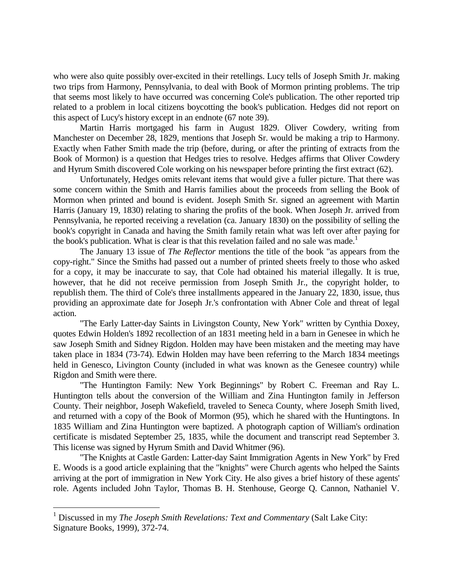who were also quite possibly over-excited in their retellings. Lucy tells of Joseph Smith Jr. making two trips from Harmony, Pennsylvania, to deal with Book of Mormon printing problems. The trip that seems most likely to have occurred was concerning Cole's publication. The other reported trip related to a problem in local citizens boycotting the book's publication. Hedges did not report on this aspect of Lucy's history except in an endnote (67 note 39).

Martin Harris mortgaged his farm in August 1829. Oliver Cowdery, writing from Manchester on December 28, 1829, mentions that Joseph Sr. would be making a trip to Harmony. Exactly when Father Smith made the trip (before, during, or after the printing of extracts from the Book of Mormon) is a question that Hedges tries to resolve. Hedges affirms that Oliver Cowdery and Hyrum Smith discovered Cole working on his newspaper before printing the first extract (62).

Unfortunately, Hedges omits relevant items that would give a fuller picture. That there was some concern within the Smith and Harris families about the proceeds from selling the Book of Mormon when printed and bound is evident. Joseph Smith Sr. signed an agreement with Martin Harris (January 19, 1830) relating to sharing the profits of the book. When Joseph Jr. arrived from Pennsylvania, he reported receiving a revelation (ca. January 1830) on the possibility of selling the book's copyright in Canada and having the Smith family retain what was left over after paying for the book's publication. What is clear is that this revelation failed and no sale was made.<sup>1</sup>

The January 13 issue of *The Reflector* mentions the title of the book "as appears from the copy-right." Since the Smiths had passed out a number of printed sheets freely to those who asked for a copy, it may be inaccurate to say, that Cole had obtained his material illegally. It is true, however, that he did not receive permission from Joseph Smith Jr., the copyright holder, to republish them. The third of Cole's three installments appeared in the January 22, 1830, issue, thus providing an approximate date for Joseph Jr.'s confrontation with Abner Cole and threat of legal action.

"The Early Latter-day Saints in Livingston County, New York" written by Cynthia Doxey, quotes Edwin Holden's 1892 recollection of an 1831 meeting held in a barn in Genesee in which he saw Joseph Smith and Sidney Rigdon. Holden may have been mistaken and the meeting may have taken place in 1834 (73-74). Edwin Holden may have been referring to the March 1834 meetings held in Genesco, Livington County (included in what was known as the Genesee country) while Rigdon and Smith were there.

"The Huntington Family: New York Beginnings" by Robert C. Freeman and Ray L. Huntington tells about the conversion of the William and Zina Huntington family in Jefferson County. Their neighbor, Joseph Wakefield, traveled to Seneca County, where Joseph Smith lived, and returned with a copy of the Book of Mormon (95), which he shared with the Huntingtons. In 1835 William and Zina Huntington were baptized. A photograph caption of William's ordination certificate is misdated September 25, 1835, while the document and transcript read September 3. This license was signed by Hyrum Smith and David Whitmer (96).

"The Knights at Castle Garden: Latter-day Saint Immigration Agents in New York" by Fred E. Woods is a good article explaining that the "knights" were Church agents who helped the Saints arriving at the port of immigration in New York City. He also gives a brief history of these agents' role. Agents included John Taylor, Thomas B. H. Stenhouse, George Q. Cannon, Nathaniel V.

÷.

<sup>1</sup> Discussed in my *The Joseph Smith Revelations: Text and Commentary* (Salt Lake City: Signature Books, 1999), 372-74.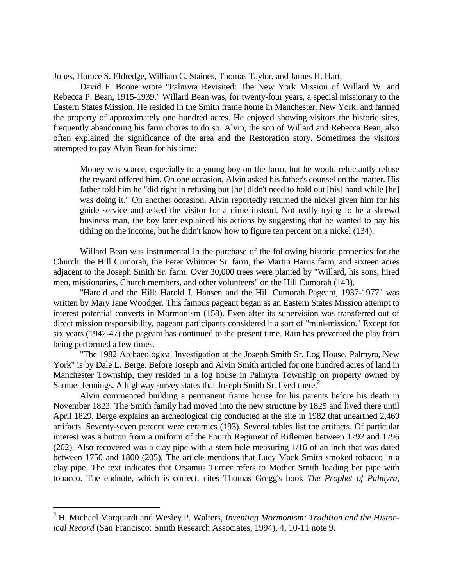Jones, Horace S. Eldredge, William C. Staines, Thomas Taylor, and James H. Hart.

David F. Boone wrote "Palmyra Revisited: The New York Mission of Willard W. and Rebecca P. Bean, 1915-1939." Willard Bean was, for twenty-four years, a special missionary to the Eastern States Mission. He resided in the Smith frame home in Manchester, New York, and farmed the property of approximately one hundred acres. He enjoyed showing visitors the historic sites, frequently abandoning his farm chores to do so. Alvin, the son of Willard and Rebecca Bean, also often explained the significance of the area and the Restoration story. Sometimes the visitors attempted to pay Alvin Bean for his time:

Money was scarce, especially to a young boy on the farm, but he would reluctantly refuse the reward offered him. On one occasion, Alvin asked his father's counsel on the matter. His father told him he "did right in refusing but [he] didn't need to hold out [his] hand while [he] was doing it." On another occasion, Alvin reportedly returned the nickel given him for his guide service and asked the visitor for a dime instead. Not really trying to be a shrewd business man, the boy later explained his actions by suggesting that he wanted to pay his tithing on the income, but he didn't know how to figure ten percent on a nickel (134).

Willard Bean was instrumental in the purchase of the following historic properties for the Church: the Hill Cumorah, the Peter Whitmer Sr. farm, the Martin Harris farm, and sixteen acres adjacent to the Joseph Smith Sr. farm. Over 30,000 trees were planted by "Willard, his sons, hired men, missionaries, Church members, and other volunteers" on the Hill Cumorah (143).

"Harold and the Hill: Harold I. Hansen and the Hill Cumorah Pageant, 1937-1977" was written by Mary Jane Woodger. This famous pageant began as an Eastern States Mission attempt to interest potential converts in Mormonism (158). Even after its supervision was transferred out of direct mission responsibility, pageant participants considered it a sort of "mini-mission." Except for six years (1942-47) the pageant has continued to the present time. Rain has prevented the play from being performed a few times.

"The 1982 Archaeological Investigation at the Joseph Smith Sr. Log House, Palmyra, New York" is by Dale L. Berge. Before Joseph and Alvin Smith articled for one hundred acres of land in Manchester Township, they resided in a log house in Palmyra Township on property owned by Samuel Jennings. A highway survey states that Joseph Smith Sr. lived there.<sup>2</sup>

Alvin commenced building a permanent frame house for his parents before his death in November 1823. The Smith family had moved into the new structure by 1825 and lived there until April 1829. Berge explains an archeological dig conducted at the site in 1982 that unearthed 2,469 artifacts. Seventy-seven percent were ceramics (193). Several tables list the artifacts. Of particular interest was a button from a uniform of the Fourth Regiment of Riflemen between 1792 and 1796 (202). Also recovered was a clay pipe with a stem hole measuring 1/16 of an inch that was dated between 1750 and 1800 (205). The article mentions that Lucy Mack Smith smoked tobacco in a clay pipe. The text indicates that Orsamus Turner refers to Mother Smith loading her pipe with tobacco. The endnote, which is correct, cites Thomas Gregg's book *The Prophet of Palmyra*,

÷.

<sup>2</sup> H. Michael Marquardt and Wesley P. Walters, *Inventing Mormonism: Tradition and the Historical Record* (San Francisco: Smith Research Associates, 1994), 4, 10-11 note 9.